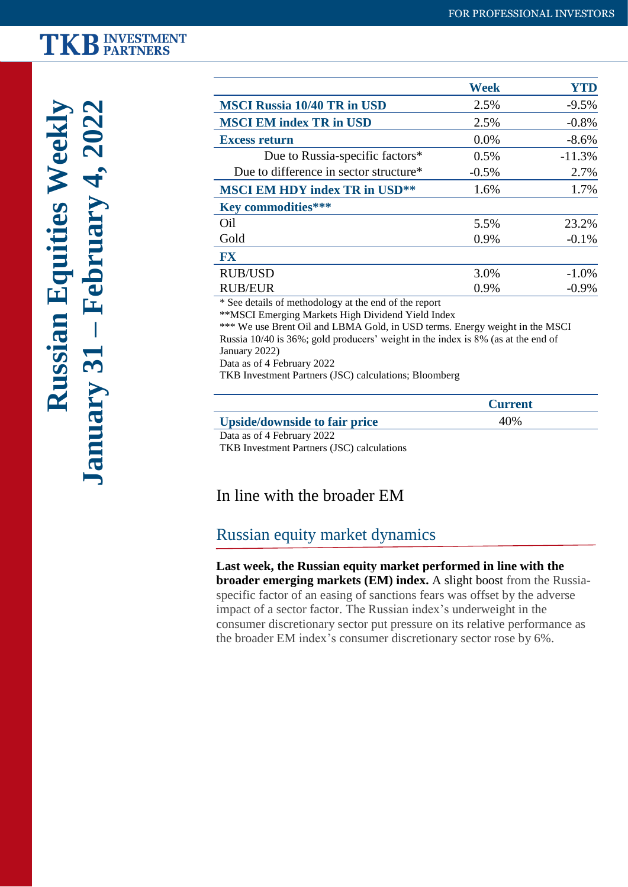## **TKB INVESTMENT**

|                                                                                                                                                                                           | <b>Week</b> | <b>YTD</b> |
|-------------------------------------------------------------------------------------------------------------------------------------------------------------------------------------------|-------------|------------|
| <b>MSCI Russia 10/40 TR in USD</b>                                                                                                                                                        | 2.5%        | $-9.5%$    |
| <b>MSCI EM index TR in USD</b>                                                                                                                                                            | 2.5%        | $-0.8%$    |
| <b>Excess return</b>                                                                                                                                                                      | 0.0%        | $-8.6%$    |
| Due to Russia-specific factors*                                                                                                                                                           | 0.5%        | $-11.3%$   |
| Due to difference in sector structure*                                                                                                                                                    | $-0.5%$     | 2.7%       |
| <b>MSCI EM HDY index TR in USD**</b>                                                                                                                                                      | 1.6%        | 1.7%       |
| <b>Key commodities***</b>                                                                                                                                                                 |             |            |
| Oil                                                                                                                                                                                       | 5.5%        | 23.2%      |
| Gold                                                                                                                                                                                      | 0.9%        | $-0.1%$    |
| FX                                                                                                                                                                                        |             |            |
| <b>RUB/USD</b>                                                                                                                                                                            | 3.0%        | $-1.0%$    |
| <b>RUB/EUR</b>                                                                                                                                                                            | 0.9%        | $-0.9\%$   |
| * See details of methodology at the end of the report<br>**MSCI Emerging Markets High Dividend Yield Index<br>*** We use Brent Oil and LBMA Gold, in USD terms. Energy weight in the MSCI |             |            |

Russia 10/40 is 36%; gold producers' weight in the index is 8% (as at the end of January 2022)

Data as of 4 February 2022

TKB Investment Partners (JSC) calculations; Bloomberg

|                                      | <b>Current</b> |  |
|--------------------------------------|----------------|--|
| <b>Upside/downside to fair price</b> | 40\%           |  |
| Data as of 4 February 2022           |                |  |

TKB Investment Partners (JSC) calculations

#### In line with the broader EM

#### Russian equity market dynamics

**Last week, the Russian equity market performed in line with the broader emerging markets (EM) index.** A slight boost from the Russiaspecific factor of an easing of sanctions fears was offset by the adverse impact of a sector factor. The Russian index's underweight in the consumer discretionary sector put pressure on its relative performance as the broader EM index's consumer discretionary sector rose by 6%.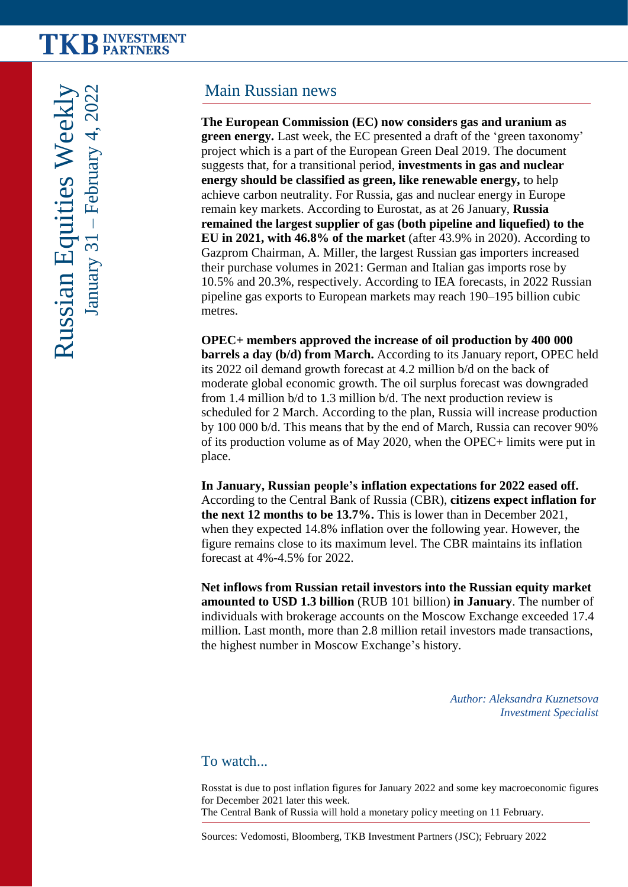### Main Russian news

**The European Commission (EC) now considers gas and uranium as green energy.** Last week, the EC presented a draft of the 'green taxonomy' project which is a part of the European Green Deal 2019. The document suggests that, for a transitional period, **investments in gas and nuclear energy should be classified as green, like renewable energy,** to help achieve carbon neutrality. For Russia, gas and nuclear energy in Europe remain key markets. According to Eurostat, as at 26 January, **Russia remained the largest supplier of gas (both pipeline and liquefied) to the EU in 2021, with 46.8% of the market** (after 43.9% in 2020). According to Gazprom Chairman, A. Miller, the largest Russian gas importers increased their purchase volumes in 2021: German and Italian gas imports rose by 10.5% and 20.3%, respectively. According to IEA forecasts, in 2022 Russian pipeline gas exports to European markets may reach 190–195 billion cubic metres.

**OPEC+ members approved the increase of oil production by 400 000 barrels a day (b/d) from March.** According to its January report, OPEC held its 2022 oil demand growth forecast at 4.2 million b/d on the back of moderate global economic growth. The oil surplus forecast was downgraded from 1.4 million b/d to 1.3 million b/d. The next production review is scheduled for 2 March. According to the plan, Russia will increase production by 100 000 b/d. This means that by the end of March, Russia can recover 90% of its production volume as of May 2020, when the OPEC+ limits were put in place.

**In January, Russian people's inflation expectations for 2022 eased off.**  According to the Central Bank of Russia (CBR), **citizens expect inflation for the next 12 months to be 13.7%.** This is lower than in December 2021, when they expected 14.8% inflation over the following year. However, the figure remains close to its maximum level. The CBR maintains its inflation forecast at 4%-4.5% for 2022.

**Net inflows from Russian retail investors into the Russian equity market amounted to USD 1.3 billion** (RUB 101 billion) **in January**. The number of individuals with brokerage accounts on the Moscow Exchange exceeded 17.4 million. Last month, more than 2.8 million retail investors made transactions, the highest number in Moscow Exchange's history.

> *Author: Aleksandra Kuznetsova Investment Specialist*

**2**

To watch...

Rosstat is due to post inflation figures for January 2022 and some key macroeconomic figures for December 2021 later this week. The Central Bank of Russia will hold a monetary policy meeting on 11 February.

Sources: Vedomosti, Bloomberg, TKB Investment Partners (JSC); February 2022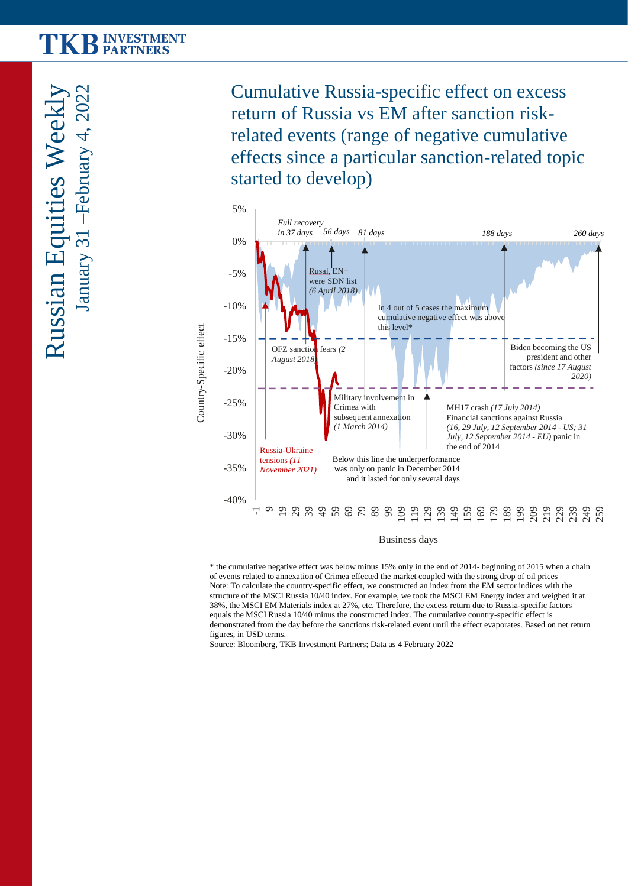Russian Equities Weekly January 31 –February 4, 202  $\mathrel{\sim}$ 

Cumulative Russia-specific effect on excess return of Russia vs EM after sanction riskrelated events (range of negative cumulative effects since a particular sanction-related topic started to develop)

**3**



Business days

\* the cumulative negative effect was below minus 15% only in the end of 2014- beginning of 2015 when a chain of events related to annexation of Crimea effected the market coupled with the strong drop of oil prices Note: To calculate the country-specific effect, we constructed an index from the EM sector indices with the structure of the MSCI Russia 10/40 index. For example, we took the MSCI EM Energy index and weighed it at 38%, the MSCI EM Materials index at 27%, etc. Therefore, the excess return due to Russia-specific factors equals the MSCI Russia 10/40 minus the constructed index. The cumulative country-specific effect is demonstrated from the day before the sanctions risk-related event until the effect evaporates. Based on net return figures, in USD terms.

Source: Bloomberg, TKB Investment Partners; Data as 4 February 2022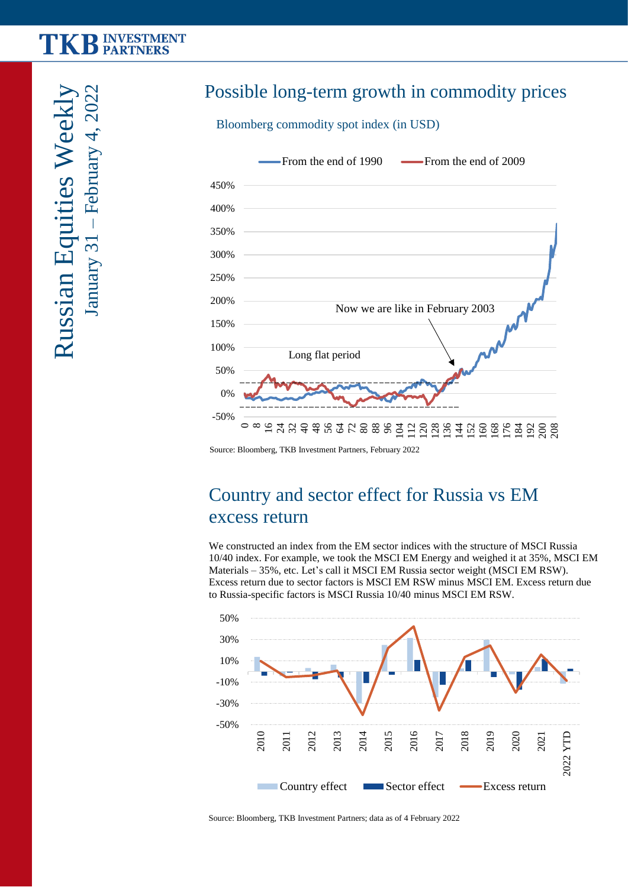# **TKB INVESTMENT**

– February 4, 2022 Russian Equities Weekly  $-$ February 4, 2022 Russian Equities Weel January 31

## Possible long-term growth in commodity prices

**4**

Bloomberg commodity spot index (in USD)



Source: Bloomberg, TKB Investment Partners, February 2022

### Country and sector effect for Russia vs EM excess return

We constructed an index from the EM sector indices with the structure of MSCI Russia 10/40 index. For example, we took the MSCI EM Energy and weighed it at 35%, MSCI EM Materials – 35%, etc. Let's call it MSCI EM Russia sector weight (MSCI EM RSW). Excess return due to sector factors is MSCI EM RSW minus MSCI EM. Excess return due to Russia-specific factors is MSCI Russia 10/40 minus MSCI EM RSW.



Source: Bloomberg, TKB Investment Partners; data as of 4 February 2022